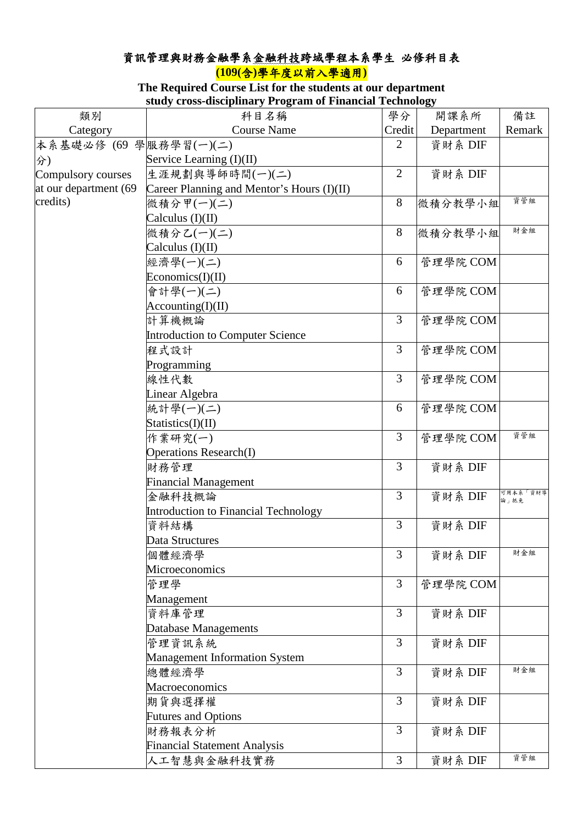## 資訊管理與財務金融學系金融科技跨域學程本系學生 必修科目表 **(109(**含**)**學年度以前入學適用**)**

## **The Required Course List for the students at our department study cross-disciplinary Program of Financial Technology**

|                       | stuuy cross-uiscipiniary r rogram or financiar recunology |                |            |                  |
|-----------------------|-----------------------------------------------------------|----------------|------------|------------------|
| 類別                    | 科目名稱                                                      | 學分             | 開課系所       | 備註               |
| Category              | <b>Course Name</b>                                        | Credit         | Department | Remark           |
| 本系基礎必修 (69            | 學服務學習(一)(二)                                               | $\overline{2}$ | 資財系 DIF    |                  |
| 分)                    | Service Learning (I)(II)                                  |                |            |                  |
| Compulsory courses    | 生涯規劃與導師時間(一)(二)                                           | $\overline{2}$ | 資財系 DIF    |                  |
| at our department (69 | Career Planning and Mentor's Hours (I)(II)                |                |            |                  |
| credits)              | 微積分甲(一)(二)                                                | 8              | 微積分教學小組    | 資管組              |
|                       | Calculus (I)(II)                                          |                |            |                  |
|                       | 微積分乙(一)(二)                                                | 8              | 微積分教學小組    | 財金組              |
|                       | Calculus (I)(II)                                          |                |            |                  |
|                       | 經濟學(一)(二)                                                 | 6              | 管理學院 COM   |                  |
|                       | Economics(I)(II)                                          |                |            |                  |
|                       | 會計學(一)(二)                                                 | 6              | 管理學院 COM   |                  |
|                       | Accounting(I)(II)                                         |                |            |                  |
|                       | 計算機概論                                                     | $\overline{3}$ | 管理學院 COM   |                  |
|                       | Introduction to Computer Science                          |                |            |                  |
|                       | 程式設計                                                      | 3              | 管理學院 COM   |                  |
|                       | Programming                                               |                |            |                  |
|                       | 線性代數                                                      | 3              | 管理學院 COM   |                  |
|                       | Linear Algebra                                            |                |            |                  |
|                       | 統計學(一)(二)                                                 | 6              | 管理學院 COM   |                  |
|                       | Statistics(I)(II)                                         |                |            |                  |
|                       | 作業研究(一)                                                   | $\overline{3}$ | 管理學院 COM   | 資管組              |
|                       | <b>Operations Research(I)</b>                             |                |            |                  |
|                       | 財務管理                                                      | $\overline{3}$ | 資財系 DIF    |                  |
|                       | <b>Financial Management</b>                               |                |            |                  |
|                       | 金融科技概論                                                    | $\overline{3}$ | 資財系 DIF    | 可用本系「資財導<br>論」抵免 |
|                       | Introduction to Financial Technology                      |                |            |                  |
|                       | 資料結構                                                      | 3              | 資財系 DIF    |                  |
|                       | Data Structures                                           |                |            |                  |
|                       | 個體經濟學                                                     | 3              | 資財系 DIF    | 財金組              |
|                       | Microeconomics                                            |                |            |                  |
|                       | 管理學                                                       | 3              | 管理學院 COM   |                  |
|                       | Management                                                |                |            |                  |
|                       | 資料庫管理                                                     | 3              | 資財系 DIF    |                  |
|                       | Database Managements                                      |                |            |                  |
|                       | 管理資訊系統                                                    | 3              | 資財系 DIF    |                  |
|                       | <b>Management Information System</b>                      |                |            |                  |
|                       | 總體經濟學                                                     | 3              | 資財系 DIF    | 財金組              |
|                       | Macroeconomics                                            |                |            |                  |
|                       | 期货與選擇權                                                    | 3              | 資財系 DIF    |                  |
|                       | <b>Futures and Options</b>                                |                |            |                  |
|                       | 財務報表分析                                                    | 3              | 資財系 DIF    |                  |
|                       | <b>Financial Statement Analysis</b>                       |                |            |                  |
|                       | 人工智慧與金融科技實務                                               | 3              | 資財系 DIF    | 資管組              |
|                       |                                                           |                |            |                  |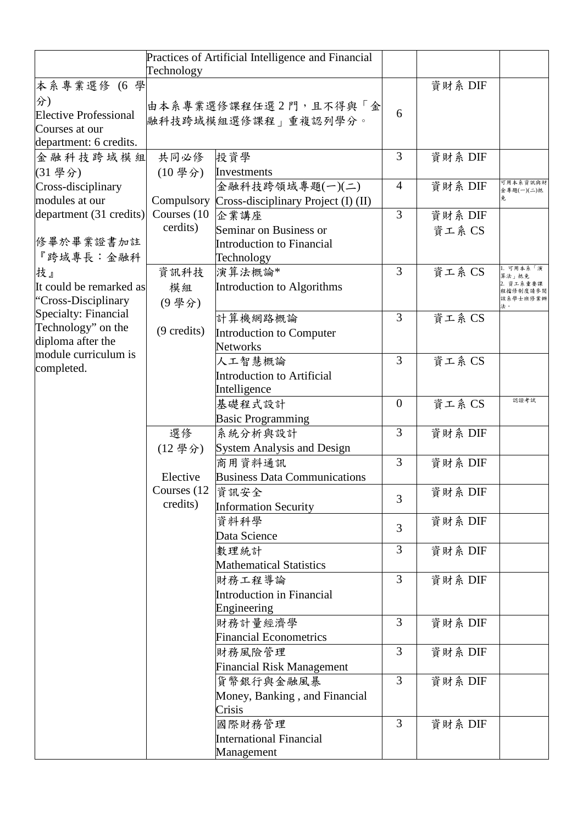|                              | Technology            | Practices of Artificial Intelligence and Financial |                |         |                      |
|------------------------------|-----------------------|----------------------------------------------------|----------------|---------|----------------------|
| 本系專業選修 (6 學                  |                       |                                                    |                | 資財系 DIF |                      |
| 分)                           |                       |                                                    |                |         |                      |
| <b>Elective Professional</b> |                       | 由本系專業選修課程任選2門,且不得與「金                               | 6              |         |                      |
| Courses at our               |                       | 融科技跨域模組選修課程」重複認列學分。                                |                |         |                      |
| department: 6 credits.       |                       |                                                    |                |         |                      |
| 金融科技跨域模組                     | 共同必修                  | 投資學                                                | 3              | 資財系 DIF |                      |
| (31 學分)                      | $(10 \frac{\mu}{2})$  | Investments                                        |                |         |                      |
| Cross-disciplinary           |                       | 金融科技跨領域專題(一)(二)                                    | $\overline{4}$ | 資財系 DIF | 可用本系资訊與財             |
| modules at our               |                       | Compulsory Cross-disciplinary Project (I) (II)     |                |         | 金專題(一)(二)抵           |
| department (31 credits)      | Courses (10)          | 企業講座                                               | 3              | 資財系 DIF |                      |
|                              | cerdits)              | Seminar on Business or                             |                | 資工系 CS  |                      |
| 修畢於畢業證書加註                    |                       | Introduction to Financial                          |                |         |                      |
| 『跨域專長:金融科                    |                       | Technology                                         |                |         |                      |
| 技』                           | 資訊科技                  | 演算法概論*                                             | $\overline{3}$ | 資工系 CS  | 可用本系「演               |
| It could be remarked as      | 模組                    | Introduction to Algorithms                         |                |         | 算法」抵免<br>資工系重要課      |
| "Cross-Disciplinary          | (9學分)                 |                                                    |                |         | 俚揣修制度请参阅<br>亥系學士班修業辦 |
| Specialty: Financial         |                       | 計算機網路概論                                            | 3              | 資工系 CS  | 法。                   |
| Technology" on the           | $(9 \text{ credits})$ |                                                    |                |         |                      |
| diploma after the            |                       | Introduction to Computer<br>Networks               |                |         |                      |
| module curriculum is         |                       | 人工智慧概論                                             | 3              | 資工系 CS  |                      |
| completed.                   |                       | <b>Introduction to Artificial</b>                  |                |         |                      |
|                              |                       | Intelligence                                       |                |         |                      |
|                              |                       | 基礎程式設計                                             | $\theta$       | 資工系 CS  | 認證考試                 |
|                              |                       | <b>Basic Programming</b>                           |                |         |                      |
|                              | 選修                    | 系統分析與設計                                            | 3              | 資財系 DIF |                      |
|                              | (12學分)                | <b>System Analysis and Design</b>                  |                |         |                      |
|                              |                       | 商用資料通訊                                             | 3              | 資財系 DIF |                      |
|                              | Elective              | <b>Business Data Communications</b>                |                |         |                      |
|                              | Courses (12)          | 資訊安全                                               |                | 資財系 DIF |                      |
|                              | credits)              | <b>Information Security</b>                        | 3              |         |                      |
|                              |                       | 資料科學                                               |                | 資財系 DIF |                      |
|                              |                       | Data Science                                       | $\overline{3}$ |         |                      |
|                              |                       | 數理統計                                               | 3              | 資財系 DIF |                      |
|                              |                       | <b>Mathematical Statistics</b>                     |                |         |                      |
|                              |                       | 財務工程導論                                             | 3              | 資財系 DIF |                      |
|                              |                       | <b>Introduction in Financial</b>                   |                |         |                      |
|                              |                       | Engineering                                        |                |         |                      |
|                              |                       | 財務計量經濟學                                            | $\overline{3}$ | 資財系 DIF |                      |
|                              |                       | <b>Financial Econometrics</b>                      |                |         |                      |
|                              |                       | 財務風險管理                                             | $\overline{3}$ | 資財系 DIF |                      |
|                              |                       | <b>Financial Risk Management</b>                   |                |         |                      |
|                              |                       | 貨幣銀行與金融風暴                                          | $\overline{3}$ | 資財系 DIF |                      |
|                              |                       | Money, Banking, and Financial                      |                |         |                      |
|                              |                       | Crisis                                             |                |         |                      |
|                              |                       | 國際財務管理                                             | 3              | 資財系 DIF |                      |
|                              |                       | <b>International Financial</b>                     |                |         |                      |
|                              |                       | Management                                         |                |         |                      |